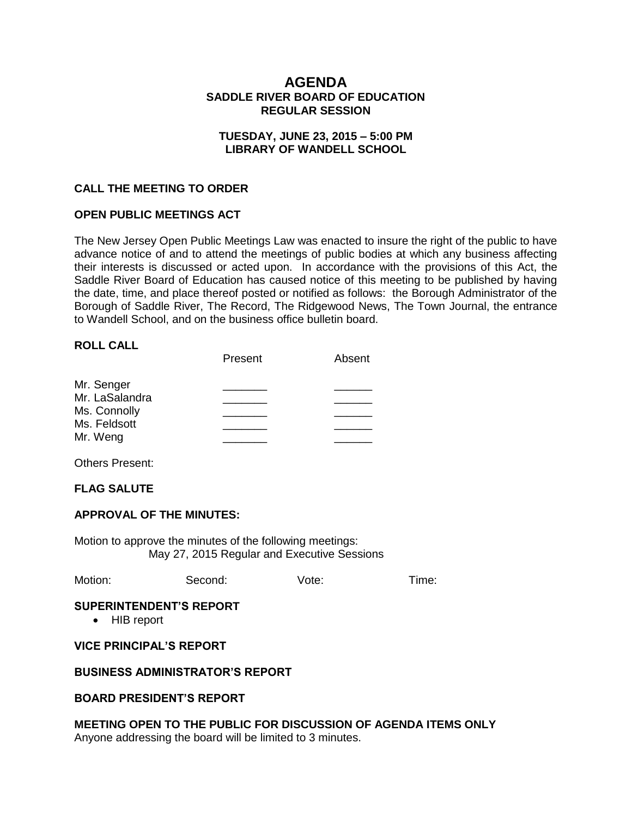# **AGENDA SADDLE RIVER BOARD OF EDUCATION REGULAR SESSION**

### **TUESDAY, JUNE 23, 2015 – 5:00 PM LIBRARY OF WANDELL SCHOOL**

#### **CALL THE MEETING TO ORDER**

## **OPEN PUBLIC MEETINGS ACT**

The New Jersey Open Public Meetings Law was enacted to insure the right of the public to have advance notice of and to attend the meetings of public bodies at which any business affecting their interests is discussed or acted upon. In accordance with the provisions of this Act, the Saddle River Board of Education has caused notice of this meeting to be published by having the date, time, and place thereof posted or notified as follows: the Borough Administrator of the Borough of Saddle River, The Record, The Ridgewood News, The Town Journal, the entrance to Wandell School, and on the business office bulletin board.

#### **ROLL CALL**

|                | Present | Absent |
|----------------|---------|--------|
| Mr. Senger     |         |        |
| Mr. LaSalandra |         |        |
| Ms. Connolly   |         |        |
| Ms. Feldsott   |         |        |
| Mr. Weng       |         |        |

Others Present:

## **FLAG SALUTE**

#### **APPROVAL OF THE MINUTES:**

Motion to approve the minutes of the following meetings: May 27, 2015 Regular and Executive Sessions

| Motion: | Second: | Vote: | Time: |
|---------|---------|-------|-------|
|         |         |       |       |

#### **SUPERINTENDENT'S REPORT**

• HIB report

## **VICE PRINCIPAL'S REPORT**

#### **BUSINESS ADMINISTRATOR'S REPORT**

### **BOARD PRESIDENT'S REPORT**

# **MEETING OPEN TO THE PUBLIC FOR DISCUSSION OF AGENDA ITEMS ONLY**

Anyone addressing the board will be limited to 3 minutes.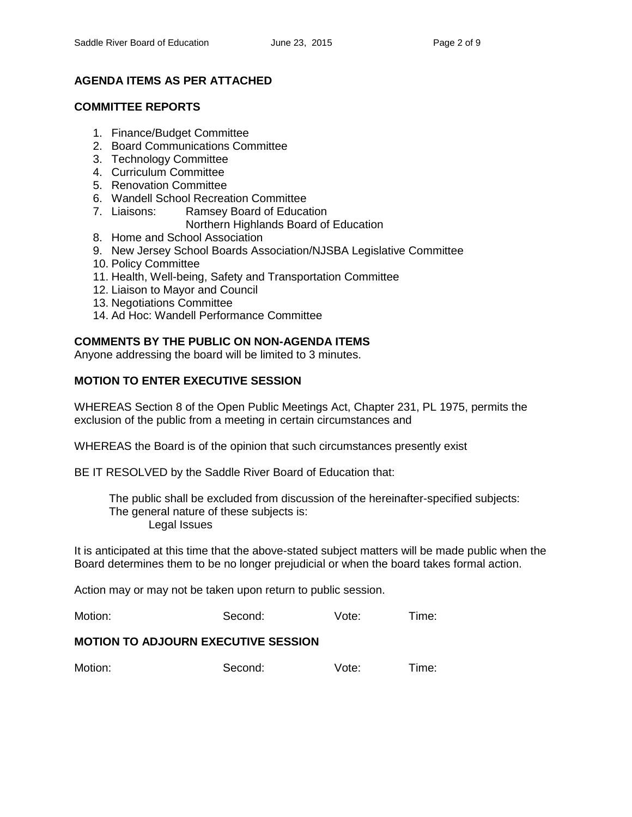# **AGENDA ITEMS AS PER ATTACHED**

# **COMMITTEE REPORTS**

- 1. Finance/Budget Committee
- 2. Board Communications Committee
- 3. Technology Committee
- 4. Curriculum Committee
- 5. Renovation Committee
- 6. Wandell School Recreation Committee
- 7. Liaisons: Ramsey Board of Education Northern Highlands Board of Education
- 8. Home and School Association
- 9. New Jersey School Boards Association/NJSBA Legislative Committee
- 10. Policy Committee
- 11. Health, Well-being, Safety and Transportation Committee
- 12. Liaison to Mayor and Council
- 13. Negotiations Committee
- 14. Ad Hoc: Wandell Performance Committee

# **COMMENTS BY THE PUBLIC ON NON-AGENDA ITEMS**

Anyone addressing the board will be limited to 3 minutes.

# **MOTION TO ENTER EXECUTIVE SESSION**

WHEREAS Section 8 of the Open Public Meetings Act, Chapter 231, PL 1975, permits the exclusion of the public from a meeting in certain circumstances and

WHEREAS the Board is of the opinion that such circumstances presently exist

BE IT RESOLVED by the Saddle River Board of Education that:

 The public shall be excluded from discussion of the hereinafter-specified subjects: The general nature of these subjects is: Legal Issues

It is anticipated at this time that the above-stated subject matters will be made public when the Board determines them to be no longer prejudicial or when the board takes formal action.

Action may or may not be taken upon return to public session.

| Motion: | Second: | Vote: | Time: |
|---------|---------|-------|-------|
|         |         |       |       |

# **MOTION TO ADJOURN EXECUTIVE SESSION**

| Motion: | Second:<br>Vote: | Time: |
|---------|------------------|-------|
|---------|------------------|-------|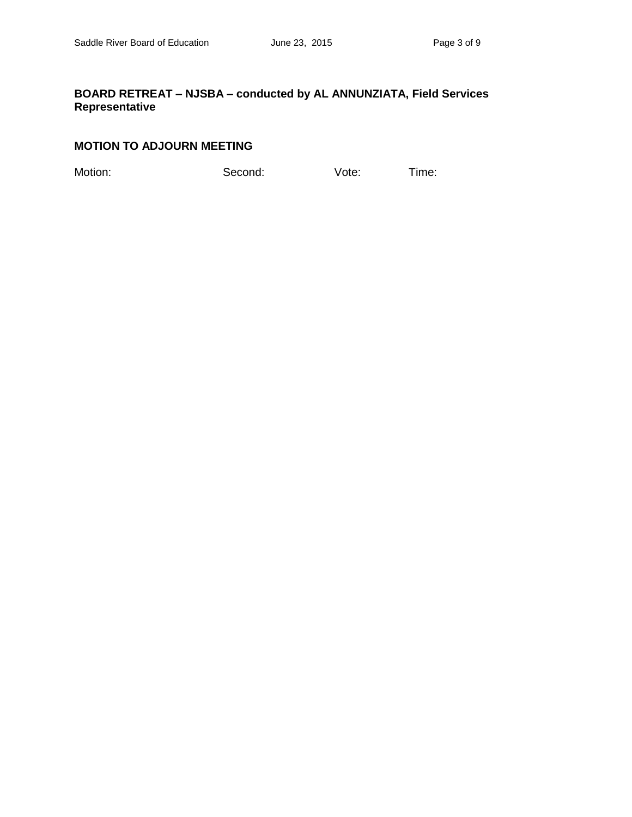# **BOARD RETREAT – NJSBA – conducted by AL ANNUNZIATA, Field Services Representative**

### **MOTION TO ADJOURN MEETING**

Motion: Second: Vote: Time: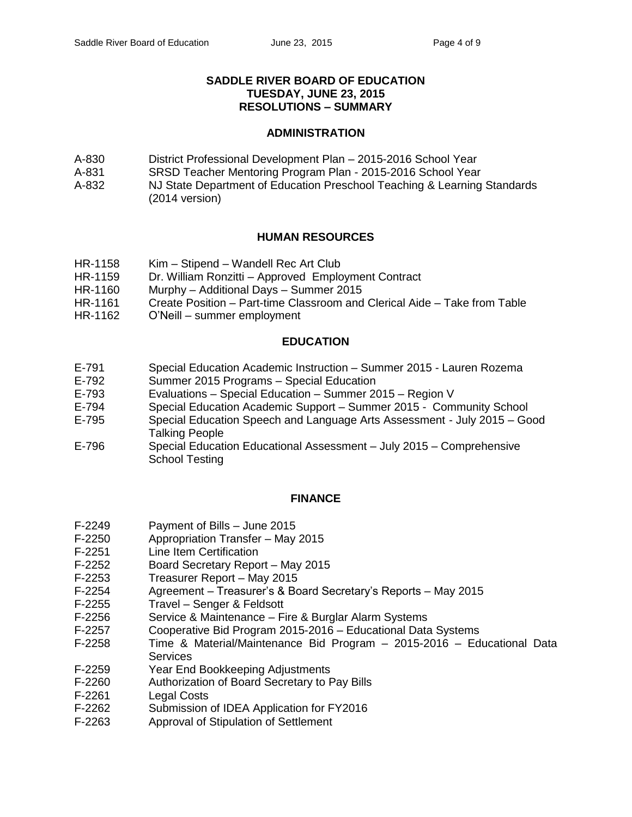# **SADDLE RIVER BOARD OF EDUCATION TUESDAY, JUNE 23, 2015 RESOLUTIONS – SUMMARY**

### **ADMINISTRATION**

- A-830 District Professional Development Plan 2015-2016 School Year
- A-831 SRSD Teacher Mentoring Program Plan 2015-2016 School Year
- A-832 NJ State Department of Education Preschool Teaching & Learning Standards (2014 version)

# **HUMAN RESOURCES**

- HR-1158 Kim Stipend Wandell Rec Art Club
- HR-1159 Dr. William Ronzitti Approved Employment Contract
- HR-1160 Murphy Additional Days Summer 2015
- HR-1161 Create Position Part-time Classroom and Clerical Aide Take from Table
- HR-1162 O'Neill summer employment

# **EDUCATION**

- E-791 Special Education Academic Instruction Summer 2015 Lauren Rozema
- E-792 Summer 2015 Programs Special Education
- E-793 Evaluations Special Education Summer 2015 Region V
- E-794 Special Education Academic Support Summer 2015 Community School
- E-795 Special Education Speech and Language Arts Assessment July 2015 Good Talking People
- E-796 Special Education Educational Assessment July 2015 Comprehensive School Testing

# **FINANCE**

- F-2249 Payment of Bills June 2015
- F-2250 Appropriation Transfer May 2015
- F-2251 Line Item Certification<br>F-2252 Board Secretary Repo
- Board Secretary Report May 2015
- F-2253 Treasurer Report May 2015
- F-2254 Agreement Treasurer's & Board Secretary's Reports May 2015
- F-2255 Travel Senger & Feldsott
- F-2256 Service & Maintenance Fire & Burglar Alarm Systems
- F-2257 Cooperative Bid Program 2015-2016 Educational Data Systems
- F-2258 Time & Material/Maintenance Bid Program 2015-2016 Educational Data **Services**
- F-2259 Year End Bookkeeping Adjustments
- F-2260 Authorization of Board Secretary to Pay Bills
- F-2261 Legal Costs
- F-2262 Submission of IDEA Application for FY2016
- F-2263 Approval of Stipulation of Settlement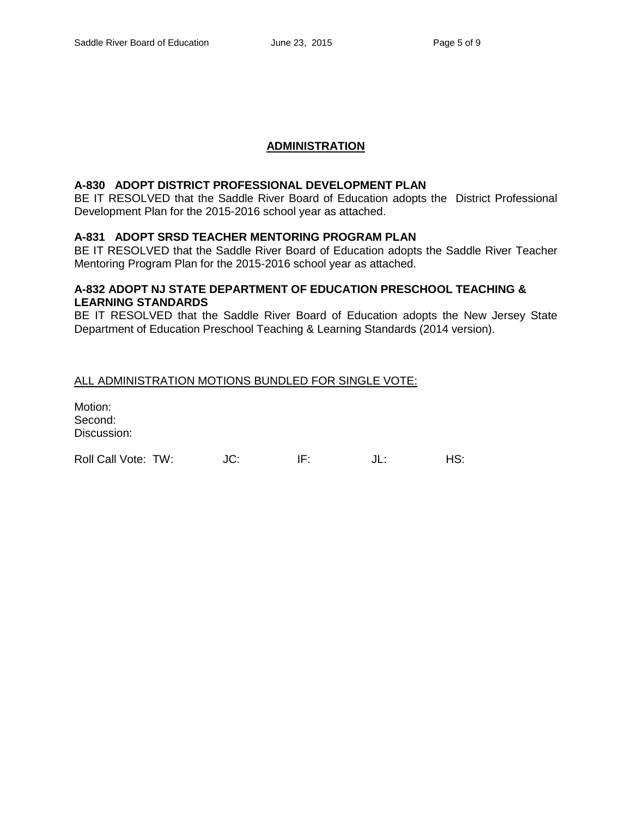# **ADMINISTRATION**

# **A-830 ADOPT DISTRICT PROFESSIONAL DEVELOPMENT PLAN**

BE IT RESOLVED that the Saddle River Board of Education adopts the District Professional Development Plan for the 2015-2016 school year as attached.

# **A-831 ADOPT SRSD TEACHER MENTORING PROGRAM PLAN**

BE IT RESOLVED that the Saddle River Board of Education adopts the Saddle River Teacher Mentoring Program Plan for the 2015-2016 school year as attached.

# **A-832 ADOPT NJ STATE DEPARTMENT OF EDUCATION PRESCHOOL TEACHING & LEARNING STANDARDS**

BE IT RESOLVED that the Saddle River Board of Education adopts the New Jersey State Department of Education Preschool Teaching & Learning Standards (2014 version).

# ALL ADMINISTRATION MOTIONS BUNDLED FOR SINGLE VOTE:

Motion: Second: Discussion:

Roll Call Vote: TW:  $JC:$  IF:  $JL:$  HS: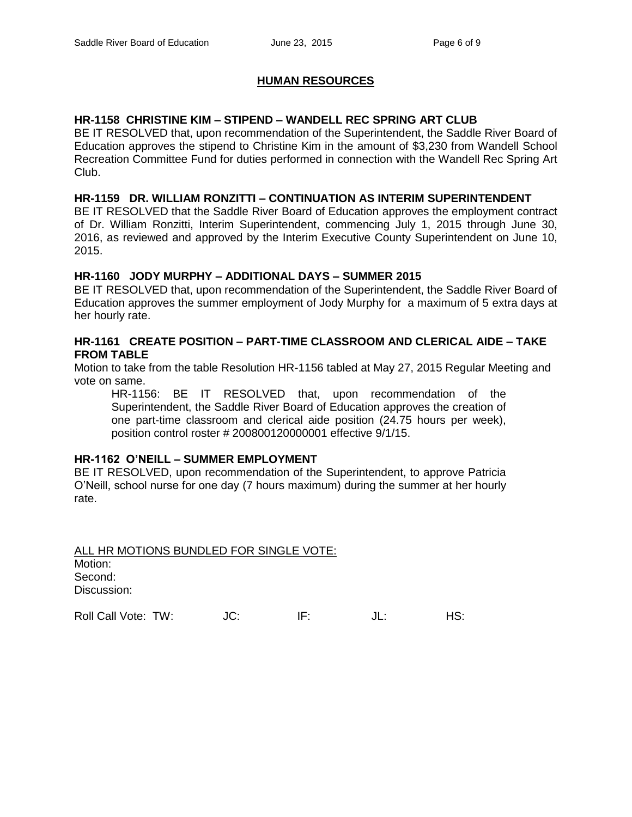# **HUMAN RESOURCES**

## **HR-1158 CHRISTINE KIM – STIPEND – WANDELL REC SPRING ART CLUB**

BE IT RESOLVED that, upon recommendation of the Superintendent, the Saddle River Board of Education approves the stipend to Christine Kim in the amount of \$3,230 from Wandell School Recreation Committee Fund for duties performed in connection with the Wandell Rec Spring Art Club.

#### **HR-1159 DR. WILLIAM RONZITTI – CONTINUATION AS INTERIM SUPERINTENDENT**

BE IT RESOLVED that the Saddle River Board of Education approves the employment contract of Dr. William Ronzitti, Interim Superintendent, commencing July 1, 2015 through June 30, 2016, as reviewed and approved by the Interim Executive County Superintendent on June 10, 2015.

#### **HR-1160 JODY MURPHY – ADDITIONAL DAYS – SUMMER 2015**

BE IT RESOLVED that, upon recommendation of the Superintendent, the Saddle River Board of Education approves the summer employment of Jody Murphy for a maximum of 5 extra days at her hourly rate.

# **HR-1161 CREATE POSITION – PART-TIME CLASSROOM AND CLERICAL AIDE – TAKE FROM TABLE**

Motion to take from the table Resolution HR-1156 tabled at May 27, 2015 Regular Meeting and vote on same.

HR-1156: BE IT RESOLVED that, upon recommendation of the Superintendent, the Saddle River Board of Education approves the creation of one part-time classroom and clerical aide position (24.75 hours per week), position control roster # 200800120000001 effective 9/1/15.

# **HR-1162 O'NEILL – SUMMER EMPLOYMENT**

BE IT RESOLVED, upon recommendation of the Superintendent, to approve Patricia O'Neill, school nurse for one day (7 hours maximum) during the summer at her hourly rate.

ALL HR MOTIONS BUNDLED FOR SINGLE VOTE: Motion: Second: Discussion:

Roll Call Vote: TW: JC: IF: JL: HS: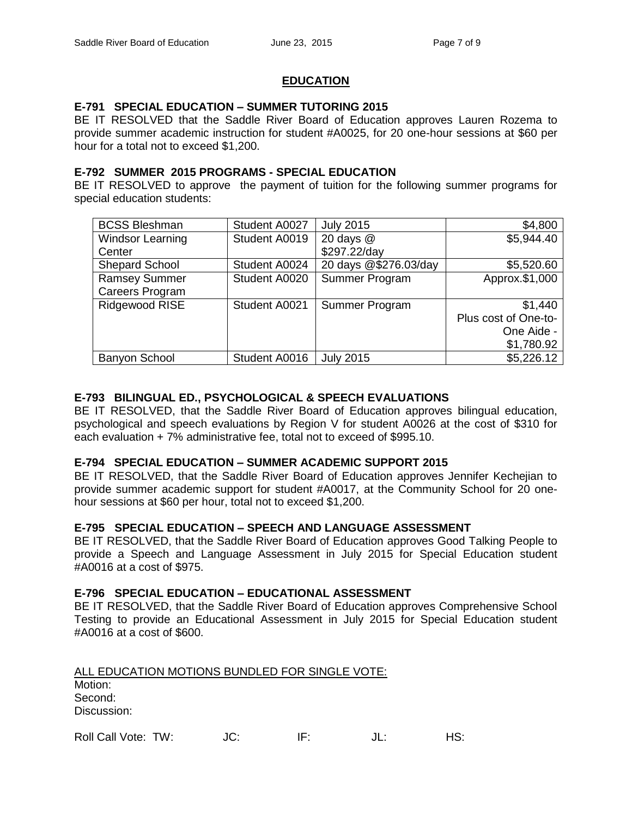## **EDUCATION**

### **E-791 SPECIAL EDUCATION – SUMMER TUTORING 2015**

BE IT RESOLVED that the Saddle River Board of Education approves Lauren Rozema to provide summer academic instruction for student #A0025, for 20 one-hour sessions at \$60 per hour for a total not to exceed \$1,200.

#### **E-792 SUMMER 2015 PROGRAMS - SPECIAL EDUCATION**

BE IT RESOLVED to approve the payment of tuition for the following summer programs for special education students:

| <b>BCSS Bleshman</b>    | Student A0027 | <b>July 2015</b>      | \$4,800              |
|-------------------------|---------------|-----------------------|----------------------|
| <b>Windsor Learning</b> | Student A0019 | 20 days $@$           | \$5,944.40           |
| Center                  |               | \$297.22/day          |                      |
| <b>Shepard School</b>   | Student A0024 | 20 days @\$276.03/day | \$5,520.60           |
| <b>Ramsey Summer</b>    | Student A0020 | Summer Program        | Approx.\$1,000       |
| Careers Program         |               |                       |                      |
| Ridgewood RISE          | Student A0021 | Summer Program        | \$1,440              |
|                         |               |                       | Plus cost of One-to- |
|                         |               |                       | One Aide -           |
|                         |               |                       | \$1,780.92           |
| Banyon School           | Student A0016 | <b>July 2015</b>      | \$5,226.12           |

## **E-793 BILINGUAL ED., PSYCHOLOGICAL & SPEECH EVALUATIONS**

BE IT RESOLVED, that the Saddle River Board of Education approves bilingual education, psychological and speech evaluations by Region V for student A0026 at the cost of \$310 for each evaluation + 7% administrative fee, total not to exceed of \$995.10.

#### **E-794 SPECIAL EDUCATION – SUMMER ACADEMIC SUPPORT 2015**

BE IT RESOLVED, that the Saddle River Board of Education approves Jennifer Kechejian to provide summer academic support for student #A0017, at the Community School for 20 onehour sessions at \$60 per hour, total not to exceed \$1,200.

#### **E-795 SPECIAL EDUCATION – SPEECH AND LANGUAGE ASSESSMENT**

BE IT RESOLVED, that the Saddle River Board of Education approves Good Talking People to provide a Speech and Language Assessment in July 2015 for Special Education student #A0016 at a cost of \$975.

#### **E-796 SPECIAL EDUCATION – EDUCATIONAL ASSESSMENT**

BE IT RESOLVED, that the Saddle River Board of Education approves Comprehensive School Testing to provide an Educational Assessment in July 2015 for Special Education student #A0016 at a cost of \$600.

| ALL EDUCATION MOTIONS BUNDLED FOR SINGLE VOTE: |     |     |        |     |
|------------------------------------------------|-----|-----|--------|-----|
| Motion:                                        |     |     |        |     |
| Second:                                        |     |     |        |     |
| Discussion:                                    |     |     |        |     |
|                                                |     |     |        |     |
| Roll Call Vote: TW:                            | JC: | IF. | . II - | HS: |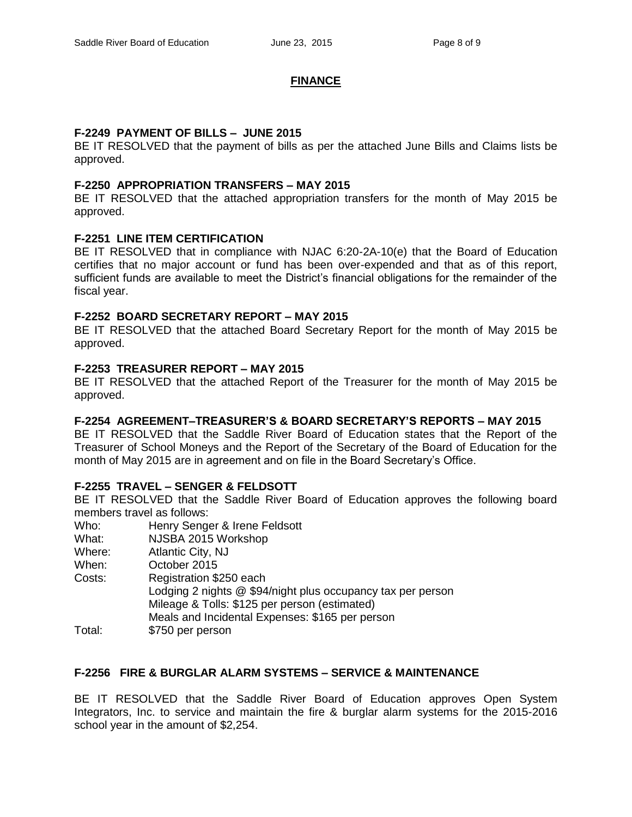#### **FINANCE**

#### **F-2249 PAYMENT OF BILLS – JUNE 2015**

BE IT RESOLVED that the payment of bills as per the attached June Bills and Claims lists be approved.

#### **F-2250 APPROPRIATION TRANSFERS – MAY 2015**

BE IT RESOLVED that the attached appropriation transfers for the month of May 2015 be approved.

### **F-2251 LINE ITEM CERTIFICATION**

BE IT RESOLVED that in compliance with NJAC 6:20-2A-10(e) that the Board of Education certifies that no major account or fund has been over-expended and that as of this report, sufficient funds are available to meet the District's financial obligations for the remainder of the fiscal year.

#### **F-2252 BOARD SECRETARY REPORT – MAY 2015**

BE IT RESOLVED that the attached Board Secretary Report for the month of May 2015 be approved.

### **F-2253 TREASURER REPORT – MAY 2015**

BE IT RESOLVED that the attached Report of the Treasurer for the month of May 2015 be approved.

### **F-2254 AGREEMENT–TREASURER'S & BOARD SECRETARY'S REPORTS – MAY 2015**

BE IT RESOLVED that the Saddle River Board of Education states that the Report of the Treasurer of School Moneys and the Report of the Secretary of the Board of Education for the month of May 2015 are in agreement and on file in the Board Secretary's Office.

#### **F-2255 TRAVEL – SENGER & FELDSOTT**

BE IT RESOLVED that the Saddle River Board of Education approves the following board members travel as follows:

- Who: Henry Senger & Irene Feldsott
- What: NJSBA 2015 Workshop
- Where: Atlantic City, NJ
- When: October 2015
- Costs: Registration \$250 each Lodging 2 nights @ \$94/night plus occupancy tax per person Mileage & Tolls: \$125 per person (estimated) Meals and Incidental Expenses: \$165 per person Total: \$750 per person

#### **F-2256 FIRE & BURGLAR ALARM SYSTEMS – SERVICE & MAINTENANCE**

BE IT RESOLVED that the Saddle River Board of Education approves Open System Integrators, Inc. to service and maintain the fire & burglar alarm systems for the 2015-2016 school year in the amount of \$2,254.